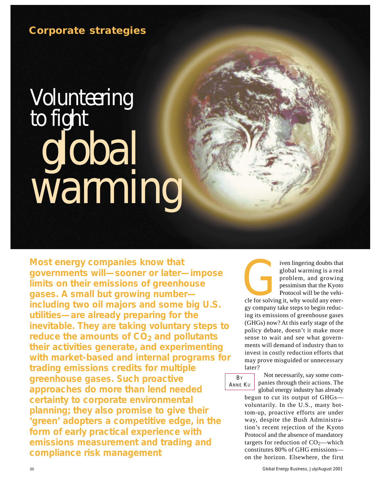# *Volunteering to fight global warming*

**Most energy companies know that governments will—sooner or later—impose limits on their emissions of greenhouse gases. A small but growing number including two oil majors and some big U.S. utilities—are already preparing for the inevitable. They are taking voluntary steps to reduce the amounts of CO<sub>2</sub> and pollutants their activities generate, and experimenting with market-based and internal programs for trading emissions credits for multiple greenhouse gases. Such proactive approaches do more than lend needed certainty to corporate environmental planning; they also promise to give their 'green' adopters a competitive edge, in the form of early practical experience with emissions measurement and trading and compliance risk management**

**Example 15 Second Warehouter School School Section**<br> **Graduate School School School School School School School School School School School School School School School School School School School School School School Scho** global warming is a real problem, and growing pessimism that the Kyoto Protocol will be the vehigy company take steps to begin reducing its emissions of greenhouse gases (GHGs) now? At this early stage of the policy debate, doesn't it make more sense to wait and see what governments will demand of industry than to invest in costly reduction efforts that may prove misguided or unnecessary later?

**B**Y ANNE KU

Not necessarily, say some companies through their actions. The global energy industry has already

begun to cut its output of GHGs voluntarily. In the U.S., many bottom-up, proactive efforts are under way, despite the Bush Administration's recent rejection of the Kyoto Protocol and the absence of mandatory targets for reduction of  $CO<sub>2</sub>$ —which constitutes 80% of GHG emissions on the horizon. Elsewhere, the first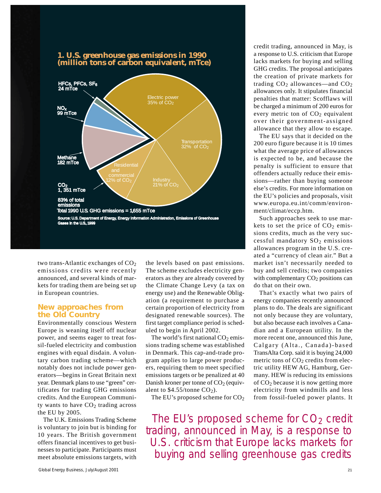



two trans-Atlantic exchanges of  $CO<sub>2</sub>$ emissions credits were recently announced, and several kinds of markets for trading them are being set up in European countries.

#### **New approaches from the Old Country**

Environmentally conscious Western Europe is weaning itself off nuclear power, and seems eager to treat fossil-fueled electricity and combustion engines with equal disdain. A voluntary carbon trading scheme—which notably does not include power generators—begins in Great Britain next year. Denmark plans to use "green" certificates for trading GHG emissions credits. And the European Community wants to have  $CO<sub>2</sub>$  trading across the EU by 2005.

The U.K. Emissions Trading Scheme is voluntary to join but is binding for 10 years. The British government offers financial incentives to get businesses to participate. Participants must meet absolute emissions targets, with

the levels based on past emissions. The scheme excludes electricity generators as they are already covered by the Climate Change Levy (a tax on energy use) and the Renewable Obligation (a requirement to purchase a certain proportion of electricity from designated renewable sources). The first target compliance period is scheduled to begin in April 2002.

The world's first national  $CO<sub>2</sub>$  emissions trading scheme was established in Denmark. This cap-and-trade program applies to large power producers, requiring them to meet specified emissions targets or be penalized at 40 Danish kroner per tonne of  $CO<sub>2</sub>$  (equivalent to  $$4.55$ /tonne CO<sub>2</sub>).

The EU's proposed scheme for  $CO<sub>2</sub>$ 

credit trading, announced in May, is a response to U.S. criticism that Europe lacks markets for buying and selling GHG credits. The proposal anticipates the creation of private markets for trading  $CO<sub>2</sub>$  allowances—and  $CO<sub>2</sub>$ allowances only. It stipulates financial penalties that matter: Scofflaws will be charged a minimum of 200 euros for every metric ton of  $CO<sub>2</sub>$  equivalent over their government-assigned allowance that they allow to escape.

The EU says that it decided on the 200 euro figure because it is 10 times what the average price of allowances is expected to be, and because the penalty is sufficient to ensure that offenders actually reduce their emissions—rather than buying someone else's credits. For more information on the EU's policies and proposals, visit www.europa.eu.int/comm/environment/climat/eccp.htm.

Such approaches seek to use markets to set the price of  $CO<sub>2</sub>$  emissions credits, much as the very successful mandatory  $SO<sub>2</sub>$  emissions allowances program in the U.S. created a "currency of clean air." But a market isn't necessarily needed to buy and sell credits; two companies with complementary  $CO<sub>2</sub>$  positions can do that on their own.

That's exactly what two pairs of energy companies recently announced plans to do. The deals are significant not only because they are voluntary, but also because each involves a Canadian and a European utility. In the more recent one, announced this June, Calgary (Alta., Canada)-based TransAlta Corp. said it is buying 24,000 metric tons of  $CO<sub>2</sub>$  credits from electric utility HEW AG, Hamburg, Germany. HEW is reducing its emissions of  $CO<sub>2</sub>$  because it is now getting more electricity from windmills and less from fossil-fueled power plants. It

The EU's proposed scheme for  $CO<sub>2</sub>$  credit trading, announced in May, is a response to U.S. criticism that Europe lacks markets for buying and selling greenhouse gas credits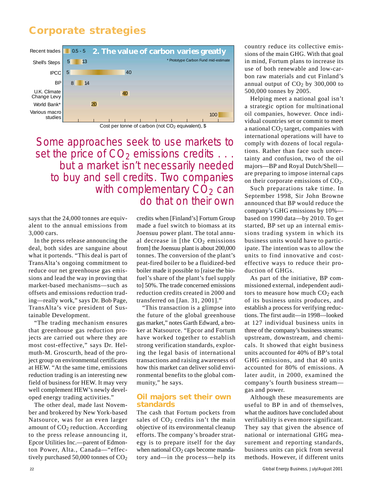

Cost per tonne of carbon (not  $CO<sub>2</sub>$  equivalent), \$

Some approaches seek to use markets to set the price of  $CO<sub>2</sub>$  emissions credits  $\ldots$ . but a market isn't necessarily needed to buy and sell credits. Two companies with complementary  $CO<sub>2</sub>$  can do that on their own

says that the 24,000 tonnes are equivalent to the annual emissions from 3,000 cars.

In the press release announcing the deal, both sides are sanguine about what it portends. "This deal is part of TransAlta's ongoing commitment to reduce our net greenhouse gas emissions and lead the way in proving that market-based mechanisms—such as offsets and emissions reduction trading—really work," says Dr. Bob Page, TransAlta's vice president of Sustainable Development.

"The trading mechanism ensures that greenhouse gas reduction projects are carried out where they are most cost-effective," says Dr. Helmuth-M. Groscurth, head of the project group on environmental certificates at HEW. "At the same time, emissions reduction trading is an interesting new field of business for HEW. It may very well complement HEW's newly developed energy trading activities."

The other deal, made last November and brokered by New York-based Natsource, was for an even larger amount of  $CO<sub>2</sub>$  reduction. According to the press release announcing it, Epcor Utilities Inc.—parent of Edmonton Power, Alta., Canada—"effectively purchased 50,000 tonnes of  $CO<sub>2</sub>$  credits when [Finland's] Fortum Group made a fuel switch to biomass at its Joensuu power plant. The total annual decrease in [the  $CO<sub>2</sub>$  emissions from] the Joensuu plant is about 200,000 tonnes. The conversion of the plant's peat-fired boiler to be a fluidized-bed boiler made it possible to [raise the biofuel's share of the plant's fuel supply to] 50%. The trade concerned emissions reduction credits created in 2000 and transferred on [Jan. 31, 2001]."

"This transaction is a glimpse into the future of the global greenhouse gas market," notes Garth Edward, a broker at Natsource. "Epcor and Fortum have worked together to establish strong verification standards, exploring the legal basis of international transactions and raising awareness of how this market can deliver solid environmental benefits to the global community," he says.

## **Oil majors set their own standards**

The cash that Fortum pockets from sales of  $CO<sub>2</sub>$  credits isn't the main objective of its environmental cleanup efforts. The company's broader strategy is to prepare itself for the day when national  $CO<sub>2</sub>$  caps become mandatory and—in the process—help its

country reduce its collective emissions of the main GHG. With that goal in mind, Fortum plans to increase its use of both renewable and low-carbon raw materials and cut Finland's annual output of  $CO<sub>2</sub>$  by 300,000 to 500,000 tonnes by 2005.

Helping meet a national goal isn't a strategic option for multinational oil companies, however. Once individual countries set or commit to meet a national  $CO<sub>2</sub>$  target, companies with international operations will have to comply with dozens of local regulations. Rather than face such uncertainty and confusion, two of the oil majors—BP and Royal Dutch/Shell are preparing to impose internal caps on their corporate emissions of  $CO<sub>2</sub>$ .

Such preparations take time. In September 1998, Sir John Browne announced that BP would reduce the company's GHG emissions by 10% based on 1990 data—by 2010. To get started, BP set up an internal emissions trading system in which its business units would have to participate. The intention was to allow the units to find innovative and costeffective ways to reduce their production of GHGs.

As part of the initiative, BP commissioned external, independent auditors to measure how much  $CO<sub>2</sub>$  each of its business units produces, and establish a process for verifying reductions. The first audit—in 1998—looked at 127 individual business units in three of the company's business streams: upstream, downstream, and chemicals. It showed that eight business units accounted for 40% of BP's total GHG emissions, and that 40 units accounted for 80% of emissions. A later audit, in 2000, examined the company's fourth business stream gas and power.

Although these measurements are useful to BP in and of themselves, what the auditors have concluded about verifiability is even more significant. They say that given the absence of national or international GHG measurement and reporting standards, business units can pick from several methods. However, if different units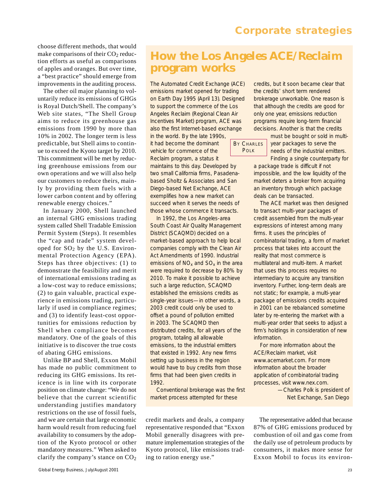choose different methods, that would make comparisons of their  $CO<sub>2</sub>$  reduction efforts as useful as comparisons of apples and oranges. But over time, a "best practice" should emerge from improvements in the auditing process.

The other oil major planning to voluntarily reduce its emissions of GHGs is Royal Dutch/Shell. The company's Web site states, "The Shell Group aims to reduce its greenhouse gas emissions from 1990 by more than 10% in 2002. The longer term is less predictable, but Shell aims to continue to exceed the Kyoto target by 2010. This commitment will be met by reducing greenhouse emissions from our own operations and we will also help our customers to reduce theirs, mainly by providing them fuels with a lower carbon content and by offering renewable energy choices."

In January 2000, Shell launched an internal GHG emissions trading system called Shell Tradable Emission Permit System (Steps). It resembles the "cap and trade" system developed for  $SO_2$  by the U.S. Environmental Protection Agency (EPA). Steps has three objectives: (1) to demonstrate the feasibility and merit of international emissions trading as a low-cost way to reduce emissions; (2) to gain valuable, practical experience in emissions trading, particularly if used in compliance regimes; and (3) to identify least-cost opportunities for emissions reduction by Shell when compliance becomes mandatory. One of the goals of this initiative is to discover the true costs of abating GHG emissions.

Unlike BP and Shell, Exxon Mobil has made no public commitment to reducing its GHG emissions. Its reticence is in line with its corporate position on climate change: "We do not believe that the current scientific understanding justifies mandatory restrictions on the use of fossil fuels, and we are certain that large economic harm would result from reducing fuel availability to consumers by the adoption of the Kyoto protocol or other mandatory measures." When asked to clarify the company's stance on CO2

# **How the Los Angeles ACE/Reclaim program works**

The Automated Credit Exchange (ACE) emissions market opened for trading on Earth Day 1995 (April 13). Designed to support the commerce of the Los Angeles Reclaim (Regional Clean Air Incentives Market) program, ACE was also the first Internet-based exchange in the world. By the late 1990s,

it had become the dominant vehicle for commerce of the Reclaim program, a status it

maintains to this day. Developed by two small California firms, Pasadenabased Sholtz & Associates and San Diego-based Net Exchange, ACE exemplifies how a new market can succeed when it serves the needs of those whose commerce it transacts.

In 1992, the Los Angeles-area South Coast Air Quality Management District (SCAQMD) decided on a market-based approach to help local companies comply with the Clean Air Act Amendments of 1990. Industrial emissions of  $NO<sub>x</sub>$  and  $SO<sub>x</sub>$  in the area were required to decrease by 80% by 2010. To make it possible to achieve such a large reduction, SCAQMD established the emissions credits as single-year issues—in other words, a 2003 credit could only be used to offset a pound of pollution emitted in 2003. The SCAQMD then distributed credits, for all years of the program, totaling all allowable emissions, to the industrial emitters that existed in 1992. Any new firms setting up business in the region would have to buy credits from those firms that had been given credits in 1992.

Conventional brokerage was the first market process attempted for these

credit markets and deals, a company representative responded that "Exxon Mobil generally disagrees with premature implementation strategies of the Kyoto protocol, like emissions trading to ration energy use."

credits, but it soon became clear that the credits' short term rendered brokerage unworkable. One reason is that although the credits are good for only one year, emissions reduction programs require long-term financial decisions. Another is that the credits

**BY CHARLES** POLK

must be bought or sold in multiyear packages to serve the needs of the industrial emitters. Finding a single counterparty for

a package trade is difficult if not impossible, and the low liquidity of the market deters a broker from acquiring an inventory through which package deals can be transacted.

The ACE market was then designed to transact multi-year packages of credit assembled from the multi-year expressions of interest among many firms. It uses the principles of combinatorial trading, a form of market process that takes into account the reality that most commerce is multilateral and multi-item. A market that uses this process requires no intermediary to acquire any transition inventory. Further, long-term deals are not static; for example, a multi-year package of emissions credits acquired in 2001 can be rebalanced sometime later by re-entering the market with a multi-year order that seeks to adjust a firm's holdings in consideration of new information.

For more information about the ACE/Reclaim market, visit www.acemarket.com. For more information about the broader application of combinatorial trading processes, visit www.nex.com.

> *—Charles Polk is president of Net Exchange, San Diego*

The representative added that because 87% of GHG emissions produced by combustion of oil and gas come from the daily use of petroleum products by consumers, it makes more sense for Exxon Mobil to focus its environ-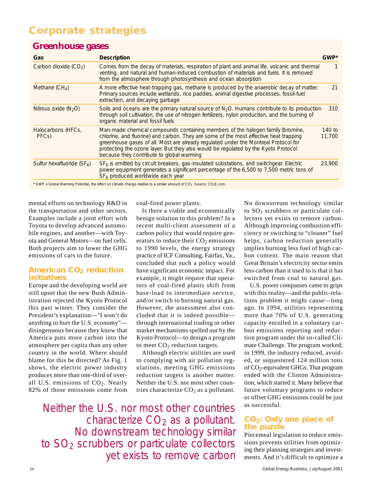## **Greenhouse gases**

| Gas                                    | <b>Description</b>                                                                                                                                                                                                                                                                                                                                                                                | $GWP^*$          |
|----------------------------------------|---------------------------------------------------------------------------------------------------------------------------------------------------------------------------------------------------------------------------------------------------------------------------------------------------------------------------------------------------------------------------------------------------|------------------|
| Carbon dioxide $(CO2)$                 | Comes from the decay of materials, respiration of plant and animal life, volcanic and thermal<br>venting, and natural and human-induced combustion of materials and fuels. It is removed<br>from the atmosphere through photosynthesis and ocean absorption                                                                                                                                       |                  |
| Methane $(CH_4)$                       | A more effective heat-trapping gas, methane is produced by the anaerobic decay of matter.<br>Primary sources include wetlands, rice paddies, animal digestive processes, fossil-fuel<br>extraction, and decaying garbage                                                                                                                                                                          | 21               |
| Nitrous oxide $(N2O)$                  | Soils and oceans are the primary natural source of $N2O$ . Humans contribute to its production<br>through soil cultivation, the use of nitrogen fertilizers, nylon production, and the burning of<br>organic material and fossil fuels                                                                                                                                                            | 310              |
| Halocarbons (HFCs,<br>PFC <sub>S</sub> | Man-made chemical compounds containing members of the halogen family (bromine,<br>chlorine, and fluorine) and carbon. They are some of the most effective heat trapping<br>greenhouse gases of all. Most are already regulated under the Montreal Protocol for<br>protecting the ozone layer. But they also would be regulated by the Kyoto Protocol<br>because they contribute to global warming | 140 to<br>11,700 |
| Sulfur hexafluoride $(SF_6)$           | $SF6$ is emitted by circuit breakers, gas-insulated substations, and switchgear. Electric<br>power equipment generates a significant percentage of the 6,500 to 7,500 metric tons of<br>SF <sub>6</sub> produced worldwide each year                                                                                                                                                              | 23,900           |
|                                        | * GWP = Global Warming Potential, the effect on climate change relative to a similar amount of CO <sub>2</sub> . Source: CO <sub>2</sub> Com                                                                                                                                                                                                                                                      |                  |

 $*$  GWP = Global Warming Potential, the effect on climate change relative to a similar amount of CO<sub>2</sub> Source: CO<sub>2</sub>E.com

mental efforts on technology R&D in the transportation and other sectors. Examples include a joint effort with Toyota to develop advanced automobile engines, and another—with Toyota and General Motors—on fuel cells. Both projects aim to lower the GHG emissions of cars in the future.

## **American CO2 reduction initiatives**

Europe and the developing world are still upset that the new Bush Administration rejected the Kyoto Protocol this past winter. They consider the President's explanation—"I won't do anything to hurt the U.S. economy" disingenuous because they know that America puts more carbon into the atmosphere per capita than any other country in the world. Where should blame for this be directed? As Fig. 1 shows, the electric power industry produces more than one-third of overall U.S. emissions of  $CO<sub>2</sub>$ . Nearly 82% of those emissions come from coal-fired power plants.

Is there a viable and economically benign solution to this problem? In a recent multi-client assessment of a carbon policy that would require generators to reduce their  $CO<sub>2</sub>$  emissions to 1990 levels, the energy strategy practice of ICF Consulting, Fairfax, Va., concluded that such a policy would have significant economic impact. For example, it might require that operators of coal-fired plants shift from base-load to intermediate service, and/or switch to burning natural gas. However, the assessment also concluded that it is indeed possible through international trading or other market mechanisms spelled out by the Kyoto Protocol—to design a program to meet  $CO<sub>2</sub>$  reduction targets.

Although electric utilities are used to complying with air pollution regulations, meeting GHG emissions reduction targets is another matter. Neither the U.S. nor most other countries characterize  $CO<sub>2</sub>$  as a pollutant.

Neither the U.S. nor most other countries characterize  $CO<sub>2</sub>$  as a pollutant. No downstream technology similar to  $SO<sub>2</sub>$  scrubbers or particulate collectors yet exists to remove carbon

No downstream technology similar to  $SO<sub>2</sub>$  scrubbers or particulate collectors yet exists to remove carbon. Although improving combustion efficiency or switching to "cleaner" fuel helps, carbon reduction generally implies burning less fuel of high carbon content. The main reason that Great Britain's electricity sector emits less carbon than it used to is that it has switched from coal to natural gas.

U.S. power companies came to grips with this reality—and the public-relations problem it might cause—long ago. In 1994, utilities representing more than 70% of U.S. generating capacity enrolled in a voluntary carbon emissions reporting and reduction program under the so-called Climate Challenge. The program worked; in 1999, the industry reduced, avoided, or sequestered 124 million tons of CO2-equivalent GHGs. That program ended with the Clinton Administration, which started it. Many believe that future voluntary programs to reduce or offset GHG emissions could be just as successful.

## **CO2: Only one piece of the puzzle**

Piecemeal legislation to reduce emissions prevents utilities from optimizing their planning strategies and investments. And it's difficult to optimize a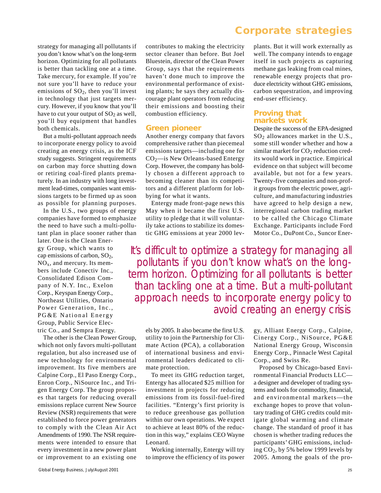strategy for managing all pollutants if you don't know what's on the long-term horizon. Optimizing for all pollutants is better than tackling one at a time. Take mercury, for example. If you're not sure you'll have to reduce your emissions of  $SO<sub>2</sub>$ , then you'll invest in technology that just targets mercury. However, if you know that you'll have to cut your output of  $SO<sub>2</sub>$  as well, you'll buy equipment that handles both chemicals.

But a multi-pollutant approach needs to incorporate energy policy to avoid creating an energy crisis, as the ICF study suggests. Stringent requirements on carbon may force shutting down or retiring coal-fired plants prematurely. In an industry with long investment lead-times, companies want emissions targets to be firmed up as soon as possible for planning purposes.

In the U.S., two groups of energy companies have formed to emphasize the need to have such a multi-pollutant plan in place sooner rather than

later. One is the Clean Energy Group, which wants to cap emissions of carbon, SO2,  $NO<sub>x</sub>$ , and mercury. Its members include Conectiv Inc., Consolidated Edison Company of N.Y. Inc., Exelon Corp., Keyspan Energy Corp., Northeast Utilities, Ontario Power Generation, Inc., PG&E National Energy Group, Public Service Electric Co., and Sempra Energy.

The other is the Clean Power Group, which not only favors multi-pollutant regulation, but also increased use of new technology for environmental improvement. Its five members are Calpine Corp., El Paso Energy Corp., Enron Corp., NiSource Inc., and Trigen Energy Corp. The group proposes that targets for reducing overall emissions replace current New Source Review (NSR) requirements that were established to force power generators to comply with the Clean Air Act Amendments of 1990. The NSR requirements were intended to ensure that every investment in a new power plant or improvement to an existing one contributes to making the electricity sector cleaner than before. But Joel Bluestein, director of the Clean Power Group, says that the requirements haven't done much to improve the environmental performance of existing plants; he says they actually discourage plant operators from reducing their emissions and boosting their combustion efficiency.

#### **Green pioneer**

Another energy company that favors comprehensive rather than piecemeal emissions targets—including one for CO2—is New Orleans-based Entergy Corp. However, the company has boldly chosen a different approach to becoming cleaner than its competitors and a different platform for lobbying for what it wants.

Entergy made front-page news this May when it became the first U.S. utility to pledge that it will voluntarily take actions to stabilize its domestic GHG emissions at year 2000 lev-

## *Corporate strategies*

plants. But it will work externally as well. The company intends to engage itself in such projects as capturing methane gas leaking from coal mines, renewable energy projects that produce electricity without GHG emissions, carbon sequestration, and improving end-user efficiency.

## **Proving that markets work**

Despite the success of the EPA-designed  $SO<sub>2</sub>$  allowances market in the U.S., some still wonder whether and how a similar market for  $CO<sub>2</sub>$  reduction credits would work in practice. Empirical evidence on that subject will become available, but not for a few years. Twenty-five companies and non-profit groups from the electric power, agriculture, and manufacturing industries have agreed to help design a new, interregional carbon trading market to be called the Chicago Climate Exchange. Participants include Ford Motor Co., DuPont Co., Suncor Ener-

It's difficult to optimize a strategy for managing all pollutants if you don't know what's on the longterm horizon. Optimizing for all pollutants is better than tackling one at a time. But a multi-pollutant approach needs to incorporate energy policy to avoid creating an energy crisis

els by 2005. It also became the first U.S. utility to join the Partnership for Climate Action (PCA), a collaboration of international business and environmental leaders dedicated to climate protection.

To meet its GHG reduction target, Entergy has allocated \$25 million for investment in projects for reducing emissions from its fossil-fuel-fired facilities. "Entergy's first priority is to reduce greenhouse gas pollution within our own operations. We expect to achieve at least 80% of the reduction in this way," explains CEO Wayne Leonard.

Working internally, Entergy will try to improve the efficiency of its power

gy, Alliant Energy Corp., Calpine, Cinergy Corp., NiSource, PG&E National Energy Group, Wisconsin Energy Corp., Pinnacle West Capital Corp., and Swiss Re.

Proposed by Chicago-based Environmental Financial Products LLC a designer and developer of trading systems and tools for commodity, financial, and environmental markets—the exchange hopes to prove that voluntary trading of GHG credits could mitigate global warming and climate change. The standard of proof it has chosen is whether trading reduces the participants' GHG emissions, including  $CO<sub>2</sub>$ , by 5% below 1999 levels by 2005. Among the goals of the pro-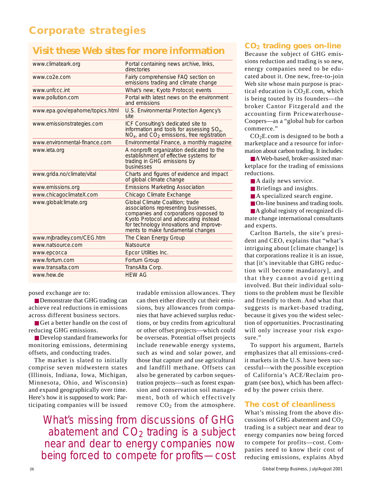## **Visit these Web sites for more information**

| www.climateark.org              | Portal containing news archive, links,<br>directories                                                                                                                                                                                      |
|---------------------------------|--------------------------------------------------------------------------------------------------------------------------------------------------------------------------------------------------------------------------------------------|
| www.co2e.com                    | Fairly comprehensive FAQ section on<br>emissions trading and climate change                                                                                                                                                                |
| www.unfccc.int                  | What's new; Kyoto Protocol; events                                                                                                                                                                                                         |
| www.pollution.com               | Portal with latest news on the environment<br>and emissions                                                                                                                                                                                |
| www.epa.gov/epahome/topics.html | U.S. Environmental Protection Agency's<br>site                                                                                                                                                                                             |
| www.emissionstrategies.com      | ICF Consulting's dedicated site to<br>information and tools for assessing SO <sub>x</sub> ,<br>$NOx$ , and $CO2$ emissions, free registration                                                                                              |
| www.environmental-finance.com   | Environmental Finance, a monthly magazine                                                                                                                                                                                                  |
| www.ieta.org                    | A nonprofit organization dedicated to the<br>establishment of effective systems for<br>trading in GHG emissions by<br>businesses                                                                                                           |
| www.grida.no/climate/vital      | Charts and figures of evidence and impact<br>of global climate change                                                                                                                                                                      |
| www.emissions.org               | <b>Emissions Marketing Association</b>                                                                                                                                                                                                     |
| www.chicagoclimateX.com         | Chicago Climate Exchange                                                                                                                                                                                                                   |
| www.globalclimate.org           | Global Climate Coalition: trade<br>associations representing businesses,<br>companies and corporations opposed to<br>Kyoto Protocol and advocating instead<br>for technology innovations and improve-<br>ments to make fundamental changes |
| www.mjbradley.com/CEG.htm       | The Clean Energy Group                                                                                                                                                                                                                     |
| www.natsource.com               | <b>Natsource</b>                                                                                                                                                                                                                           |
| www.epcor.ca                    | Epcor Utilities Inc.                                                                                                                                                                                                                       |
| www.fortum.com                  | Fortum Group                                                                                                                                                                                                                               |
| www.transalta.com               | TransAlta Corp.                                                                                                                                                                                                                            |
| www.hew.de                      | <b>HFW AG</b>                                                                                                                                                                                                                              |
|                                 |                                                                                                                                                                                                                                            |

posed exchange are to:

■ Demonstrate that GHG trading can achieve real reductions in emissions across different business sectors.

■ Get a better handle on the cost of reducing GHG emissions.

■ Develop standard frameworks for monitoring emissions, determining offsets, and conducting trades.

The market is slated to initially comprise seven midwestern states (Illinois, Indiana, Iowa, Michigan, Minnesota, Ohio, and Wisconsin) and expand geographically over time. Here's how it is supposed to work: Participating companies will be issued

tradable emission allowances. They can then either directly cut their emissions, buy allowances from companies that have achieved surplus reductions, or buy credits from agricultural or other offset projects—which could be overseas. Potential offset projects include renewable energy systems, such as wind and solar power, and those that capture and use agricultural and landfill methane. Offsets can also be generated by carbon sequestration projects—such as forest expansion and conservation soil management, both of which effectively remove  $CO<sub>2</sub>$  from the atmosphere.

What's missing from discussions of GHG abatement and  $CO<sub>2</sub>$  trading is a subject near and dear to energy companies now being forced to compete for profits—cost

## **CO2 trading goes on-line**

Because the subject of GHG emissions reduction and trading is so new, energy companies need to be educated about it. One new, free-to-join Web site whose main purpose is practical education is  $CO<sub>2</sub>E.com$ , which is being touted by its founders—the broker Cantor Fitzgerald and the accounting firm Pricewaterhouse-Coopers—as a "global hub for carbon commerce."

CO2E.com is designed to be both a marketplace and a resource for information about carbon trading. It includes:

■A Web-based, broker-assisted marketplace for the trading of emissions reductions.

■ A daily news service.

■ Briefings and insights.

■ A specialized search engine.

■ On-line business and trading tools.

■ A global registry of recognized climate change international consultants and experts.

Carlton Bartels, the site's president and CEO, explains that "what's intriguing about [climate change] is that corporations realize it is an issue, that [it's inevitable that GHG reduction will become mandatory], and that they cannot avoid getting involved. But their individual solutions to the problem must be flexible and friendly to them. And what that suggests is market-based trading, because it gives you the widest selection of opportunities. Procrastinating will only increase your risk exposure."

To support his argument, Bartels emphasizes that all emissions-credit markets in the U.S. have been successful—with the possible exception of California's ACE/Reclaim program (see box), which has been affected by the power crisis there.

#### **The cost of cleanliness**

What's missing from the above discussions of GHG abatement and CO2 trading is a subject near and dear to energy companies now being forced to compete for profits—cost. Companies need to know their cost of reducing emissions, explains Abyd